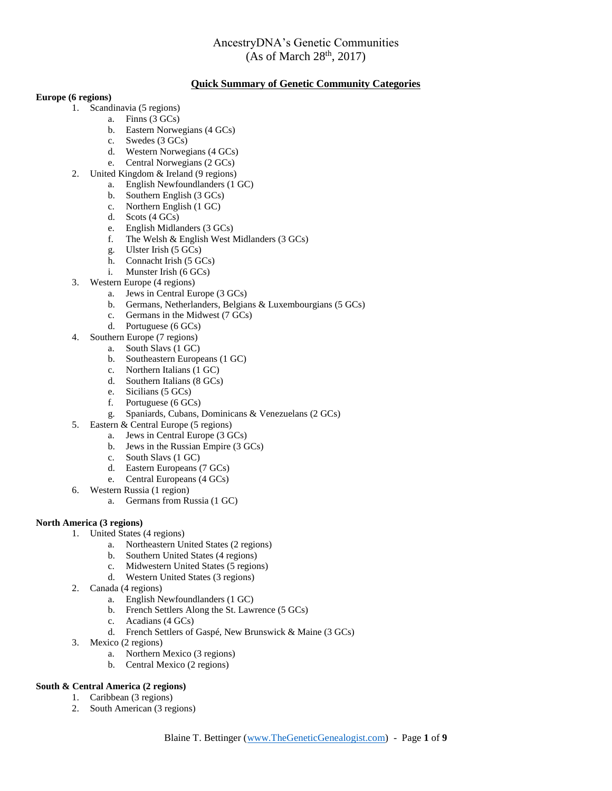#### **Quick Summary of Genetic Community Categories**

#### **Europe (6 regions)**

- 1. Scandinavia (5 regions)
	- a. Finns (3 GCs)
		- b. Eastern Norwegians (4 GCs)
		- c. Swedes (3 GCs)
		- d. Western Norwegians (4 GCs)
		- e. Central Norwegians (2 GCs)
- 2. United Kingdom & Ireland (9 regions)
	- a. English Newfoundlanders (1 GC)
	- b. Southern English (3 GCs)
	- c. Northern English (1 GC)
	- d. Scots (4 GCs)
	- e. English Midlanders (3 GCs)
	- f. The Welsh & English West Midlanders (3 GCs)
	- g. Ulster Irish (5 GCs)
	- h. Connacht Irish (5 GCs)
	- i. Munster Irish (6 GCs)
- 3. Western Europe (4 regions)
	- a. Jews in Central Europe (3 GCs)
	- b. Germans, Netherlanders, Belgians & Luxembourgians (5 GCs)
	- c. Germans in the Midwest (7 GCs)
	- d. Portuguese (6 GCs)
- 4. Southern Europe (7 regions)
	- a. South Slavs (1 GC)
	- b. Southeastern Europeans (1 GC)
	- c. Northern Italians (1 GC)
	- d. Southern Italians (8 GCs)
	- e. Sicilians (5 GCs)
	- f. Portuguese (6 GCs)
	- g. Spaniards, Cubans, Dominicans & Venezuelans (2 GCs)
- 5. Eastern & Central Europe (5 regions)
	- a. Jews in Central Europe (3 GCs)
	- b. Jews in the Russian Empire (3 GCs)
	- c. South Slavs (1 GC)
	- d. Eastern Europeans (7 GCs)
	- e. Central Europeans (4 GCs)
- 6. Western Russia (1 region)
	- a. Germans from Russia (1 GC)

#### **North America (3 regions)**

- 1. United States (4 regions)
	- a. Northeastern United States (2 regions)
	- b. Southern United States (4 regions)
	- c. Midwestern United States (5 regions)
	- d. Western United States (3 regions)
- 2. Canada (4 regions)
	- a. English Newfoundlanders (1 GC)
	- b. French Settlers Along the St. Lawrence (5 GCs)
	- c. Acadians (4 GCs)
	- d. French Settlers of Gaspé, New Brunswick & Maine (3 GCs)
- 3. Mexico (2 regions)
	- a. Northern Mexico (3 regions)
	- b. Central Mexico (2 regions)

#### **South & Central America (2 regions)**

- 1. Caribbean (3 regions)
- 2. South American (3 regions)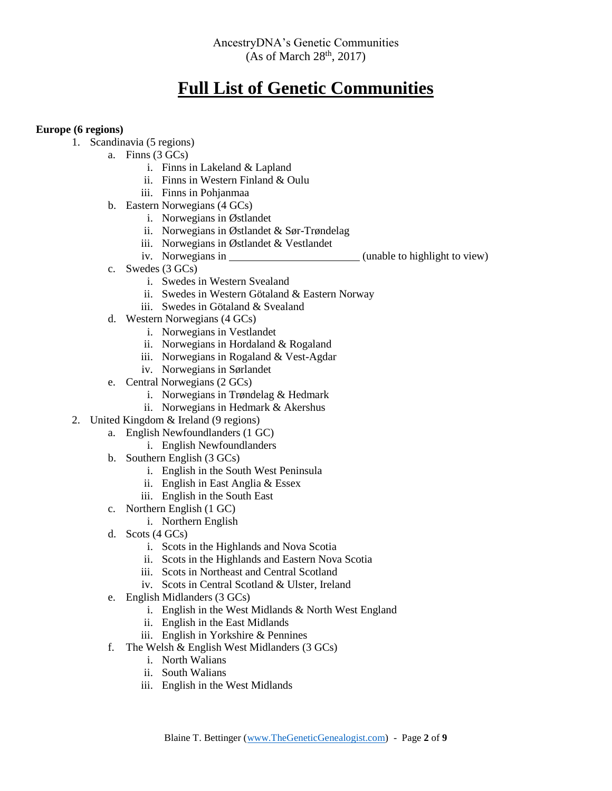# **Full List of Genetic Communities**

#### **Europe (6 regions)**

- 1. Scandinavia (5 regions)
	- a. Finns (3 GCs)
		- i. Finns in Lakeland & Lapland
		- ii. Finns in Western Finland & Oulu
		- iii. Finns in Pohjanmaa
	- b. Eastern Norwegians (4 GCs)
		- i. Norwegians in Østlandet
		- ii. Norwegians in Østlandet & Sør-Trøndelag
		- iii. Norwegians in Østlandet & Vestlandet
		- iv. Norwegians in (unable to highlight to view)
	- c. Swedes (3 GCs)
		- i. Swedes in Western Svealand
		- ii. Swedes in Western Götaland & Eastern Norway
		- iii. Swedes in Götaland & Svealand
	- d. Western Norwegians (4 GCs)
		- i. Norwegians in Vestlandet
		- ii. Norwegians in Hordaland & Rogaland
		- iii. Norwegians in Rogaland & Vest-Agdar
		- iv. Norwegians in Sørlandet
	- e. Central Norwegians (2 GCs)
		- i. Norwegians in Trøndelag & Hedmark
		- ii. Norwegians in Hedmark & Akershus
- 2. United Kingdom & Ireland (9 regions)
	- a. English Newfoundlanders (1 GC)
		- i. English Newfoundlanders
	- b. Southern English (3 GCs)
		- i. English in the South West Peninsula
		- ii. English in East Anglia & Essex
		- iii. English in the South East
	- c. Northern English (1 GC)
		- i. Northern English
	- d. Scots (4 GCs)
		- i. Scots in the Highlands and Nova Scotia
		- ii. Scots in the Highlands and Eastern Nova Scotia
		- iii. Scots in Northeast and Central Scotland
		- iv. Scots in Central Scotland & Ulster, Ireland
	- e. English Midlanders (3 GCs)
		- i. English in the West Midlands & North West England
		- ii. English in the East Midlands
		- iii. English in Yorkshire & Pennines
	- f. The Welsh  $&$  English West Midlanders (3 GCs)
		- i. North Walians
		- ii. South Walians
		- iii. English in the West Midlands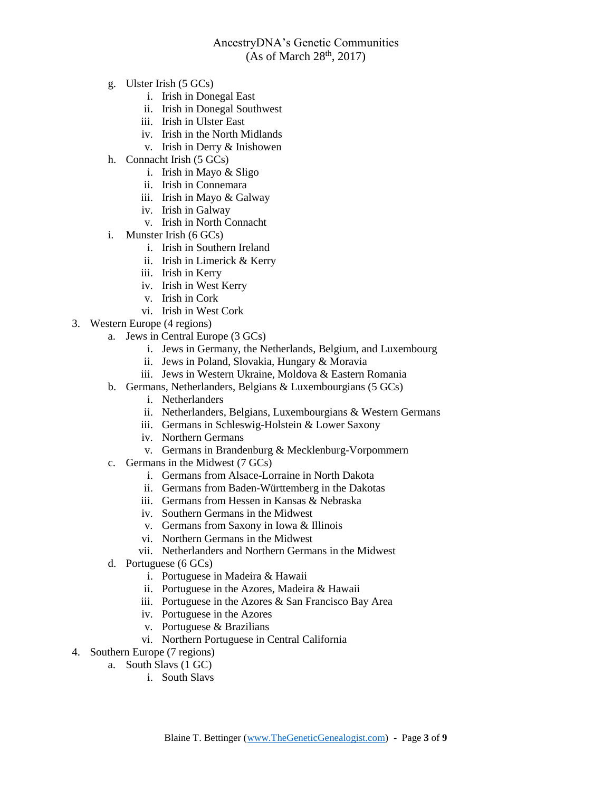- g. Ulster Irish (5 GCs)
	- i. Irish in Donegal East
	- ii. Irish in Donegal Southwest
	- iii. Irish in Ulster East
	- iv. Irish in the North Midlands
	- v. Irish in Derry & Inishowen
- h. Connacht Irish (5 GCs)
	- i. Irish in Mayo & Sligo
	- ii. Irish in Connemara
	- iii. Irish in Mayo & Galway
	- iv. Irish in Galway
	- v. Irish in North Connacht
- i. Munster Irish (6 GCs)
	- i. Irish in Southern Ireland
	- ii. Irish in Limerick & Kerry
	- iii. Irish in Kerry
	- iv. Irish in West Kerry
	- v. Irish in Cork
	- vi. Irish in West Cork
- 3. Western Europe (4 regions)
	- a. Jews in Central Europe (3 GCs)
		- i. Jews in Germany, the Netherlands, Belgium, and Luxembourg
		- ii. Jews in Poland, Slovakia, Hungary & Moravia
		- iii. Jews in Western Ukraine, Moldova & Eastern Romania
	- b. Germans, Netherlanders, Belgians & Luxembourgians (5 GCs)
		- i. Netherlanders
		- ii. Netherlanders, Belgians, Luxembourgians & Western Germans
		- iii. Germans in Schleswig-Holstein & Lower Saxony
		- iv. Northern Germans
		- v. Germans in Brandenburg & Mecklenburg-Vorpommern
	- c. Germans in the Midwest (7 GCs)
		- i. Germans from Alsace-Lorraine in North Dakota
		- ii. Germans from Baden-Württemberg in the Dakotas
		- iii. Germans from Hessen in Kansas & Nebraska
		- iv. Southern Germans in the Midwest
		- v. Germans from Saxony in Iowa & Illinois
		- vi. Northern Germans in the Midwest
		- vii. Netherlanders and Northern Germans in the Midwest
	- d. Portuguese (6 GCs)
		- i. Portuguese in Madeira & Hawaii
		- ii. Portuguese in the Azores, Madeira & Hawaii
		- iii. Portuguese in the Azores & San Francisco Bay Area
		- iv. Portuguese in the Azores
		- v. Portuguese & Brazilians
		- vi. Northern Portuguese in Central California
- 4. Southern Europe (7 regions)
	- a. South Slavs (1 GC)
		- i. South Slavs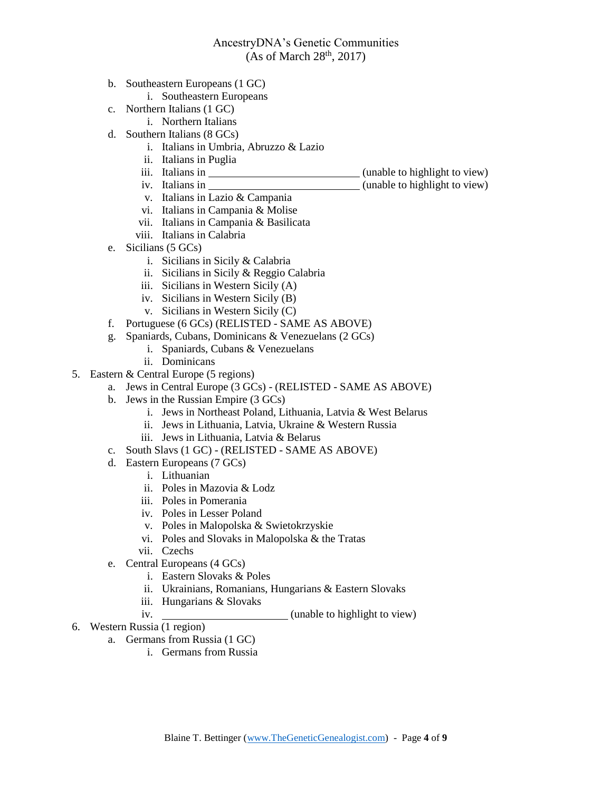- b. Southeastern Europeans (1 GC)
	- i. Southeastern Europeans
- c. Northern Italians (1 GC)
	- i. Northern Italians
- d. Southern Italians (8 GCs)
	- i. Italians in Umbria, Abruzzo & Lazio
	- ii. Italians in Puglia
	-
	- iii. Italians in (unable to highlight to view) iv. Italians in (unable to highlight to view)
	- v. Italians in Lazio & Campania
	- vi. Italians in Campania & Molise
	- vii. Italians in Campania & Basilicata
	- viii. Italians in Calabria
- e. Sicilians (5 GCs)
	- i. Sicilians in Sicily & Calabria
	- ii. Sicilians in Sicily & Reggio Calabria
	- iii. Sicilians in Western Sicily (A)
	- iv. Sicilians in Western Sicily (B)
	- v. Sicilians in Western Sicily (C)
- f. Portuguese (6 GCs) (RELISTED SAME AS ABOVE)
- g. Spaniards, Cubans, Dominicans & Venezuelans (2 GCs)
	- i. Spaniards, Cubans & Venezuelans
	- ii. Dominicans
- 5. Eastern & Central Europe (5 regions)
	- a. Jews in Central Europe (3 GCs) (RELISTED SAME AS ABOVE)
	- b. Jews in the Russian Empire (3 GCs)
		- i. Jews in Northeast Poland, Lithuania, Latvia & West Belarus
		- ii. Jews in Lithuania, Latvia, Ukraine & Western Russia
		- iii. Jews in Lithuania, Latvia & Belarus
	- c. South Slavs (1 GC) (RELISTED SAME AS ABOVE)
	- d. Eastern Europeans (7 GCs)
		- i. Lithuanian
		- ii. Poles in Mazovia & Lodz
		- iii. Poles in Pomerania
		- iv. Poles in Lesser Poland
		- v. Poles in Malopolska & Swietokrzyskie
		- vi. Poles and Slovaks in Malopolska & the Tratas
		- vii. Czechs
	- e. Central Europeans (4 GCs)
		- i. Eastern Slovaks & Poles
		- ii. Ukrainians, Romanians, Hungarians & Eastern Slovaks
		- iii. Hungarians & Slovaks
		- iv. (unable to highlight to view)
- 6. Western Russia (1 region)
	- a. Germans from Russia (1 GC)
		- i. Germans from Russia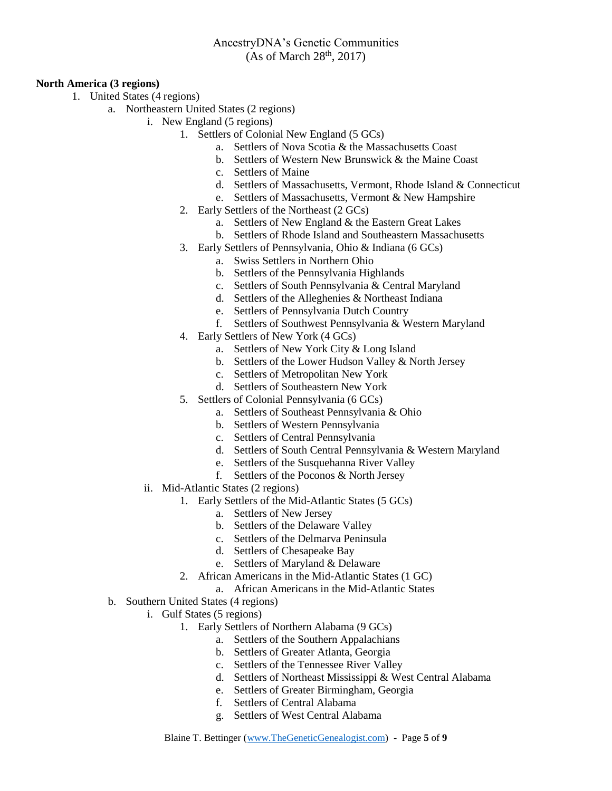#### **North America (3 regions)**

- 1. United States (4 regions)
	- a. Northeastern United States (2 regions)
		- i. New England (5 regions)
			- 1. Settlers of Colonial New England (5 GCs)
				- a. Settlers of Nova Scotia & the Massachusetts Coast
				- b. Settlers of Western New Brunswick & the Maine Coast
				- c. Settlers of Maine
				- d. Settlers of Massachusetts, Vermont, Rhode Island & Connecticut
				- e. Settlers of Massachusetts, Vermont & New Hampshire
			- 2. Early Settlers of the Northeast (2 GCs)
				- a. Settlers of New England & the Eastern Great Lakes
				- b. Settlers of Rhode Island and Southeastern Massachusetts
			- 3. Early Settlers of Pennsylvania, Ohio & Indiana (6 GCs)
				- a. Swiss Settlers in Northern Ohio
				- b. Settlers of the Pennsylvania Highlands
				- c. Settlers of South Pennsylvania & Central Maryland
				- d. Settlers of the Alleghenies & Northeast Indiana
				- e. Settlers of Pennsylvania Dutch Country
				- f. Settlers of Southwest Pennsylvania & Western Maryland
			- 4. Early Settlers of New York (4 GCs)
				- a. Settlers of New York City & Long Island
				- b. Settlers of the Lower Hudson Valley & North Jersey
				- c. Settlers of Metropolitan New York
				- d. Settlers of Southeastern New York
			- 5. Settlers of Colonial Pennsylvania (6 GCs)
				- a. Settlers of Southeast Pennsylvania & Ohio
				- b. Settlers of Western Pennsylvania
				- c. Settlers of Central Pennsylvania
				- d. Settlers of South Central Pennsylvania & Western Maryland
				- e. Settlers of the Susquehanna River Valley
				- f. Settlers of the Poconos & North Jersey
		- ii. Mid-Atlantic States (2 regions)
			- 1. Early Settlers of the Mid-Atlantic States (5 GCs)
				- a. Settlers of New Jersey
				- b. Settlers of the Delaware Valley
				- c. Settlers of the Delmarva Peninsula
				- d. Settlers of Chesapeake Bay
				- e. Settlers of Maryland & Delaware
				- 2. African Americans in the Mid-Atlantic States (1 GC)
					- a. African Americans in the Mid-Atlantic States
		- b. Southern United States (4 regions)
			- i. Gulf States (5 regions)
				- 1. Early Settlers of Northern Alabama (9 GCs)
					- a. Settlers of the Southern Appalachians
					- b. Settlers of Greater Atlanta, Georgia
					- c. Settlers of the Tennessee River Valley
					- d. Settlers of Northeast Mississippi & West Central Alabama
					- e. Settlers of Greater Birmingham, Georgia
					- f. Settlers of Central Alabama
					- g. Settlers of West Central Alabama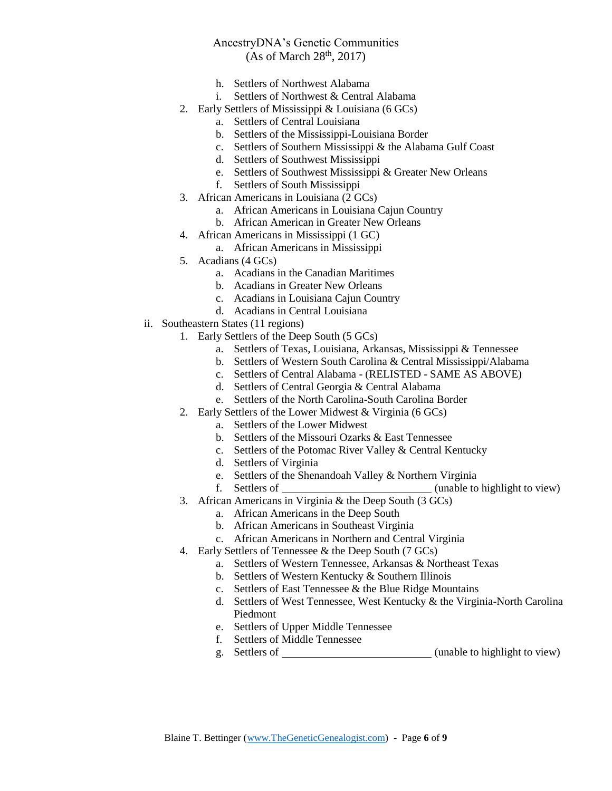- h. Settlers of Northwest Alabama
- i. Settlers of Northwest & Central Alabama
- 2. Early Settlers of Mississippi & Louisiana (6 GCs)
	- a. Settlers of Central Louisiana
	- b. Settlers of the Mississippi-Louisiana Border
	- c. Settlers of Southern Mississippi & the Alabama Gulf Coast
	- d. Settlers of Southwest Mississippi
	- e. Settlers of Southwest Mississippi & Greater New Orleans
	- f. Settlers of South Mississippi
- 3. African Americans in Louisiana (2 GCs)
	- a. African Americans in Louisiana Cajun Country
	- b. African American in Greater New Orleans
- 4. African Americans in Mississippi (1 GC)
	- a. African Americans in Mississippi
- 5. Acadians (4 GCs)
	- a. Acadians in the Canadian Maritimes
	- b. Acadians in Greater New Orleans
	- c. Acadians in Louisiana Cajun Country
	- d. Acadians in Central Louisiana
- ii. Southeastern States (11 regions)
	- 1. Early Settlers of the Deep South (5 GCs)
		- a. Settlers of Texas, Louisiana, Arkansas, Mississippi & Tennessee
		- b. Settlers of Western South Carolina & Central Mississippi/Alabama
		- c. Settlers of Central Alabama (RELISTED SAME AS ABOVE)
		- d. Settlers of Central Georgia & Central Alabama
		- e. Settlers of the North Carolina-South Carolina Border
	- 2. Early Settlers of the Lower Midwest & Virginia (6 GCs)
		- a. Settlers of the Lower Midwest
			- b. Settlers of the Missouri Ozarks & East Tennessee
			- c. Settlers of the Potomac River Valley & Central Kentucky
			- d. Settlers of Virginia
			- e. Settlers of the Shenandoah Valley & Northern Virginia
			- f. Settlers of (unable to highlight to view)
	- 3. African Americans in Virginia & the Deep South (3 GCs)
		- a. African Americans in the Deep South
		- b. African Americans in Southeast Virginia
		- c. African Americans in Northern and Central Virginia
	- 4. Early Settlers of Tennessee & the Deep South (7 GCs)
		- a. Settlers of Western Tennessee, Arkansas & Northeast Texas
		- b. Settlers of Western Kentucky & Southern Illinois
		- c. Settlers of East Tennessee & the Blue Ridge Mountains
		- d. Settlers of West Tennessee, West Kentucky & the Virginia-North Carolina Piedmont
		- e. Settlers of Upper Middle Tennessee
		- f. Settlers of Middle Tennessee
		- g. Settlers of (unable to highlight to view)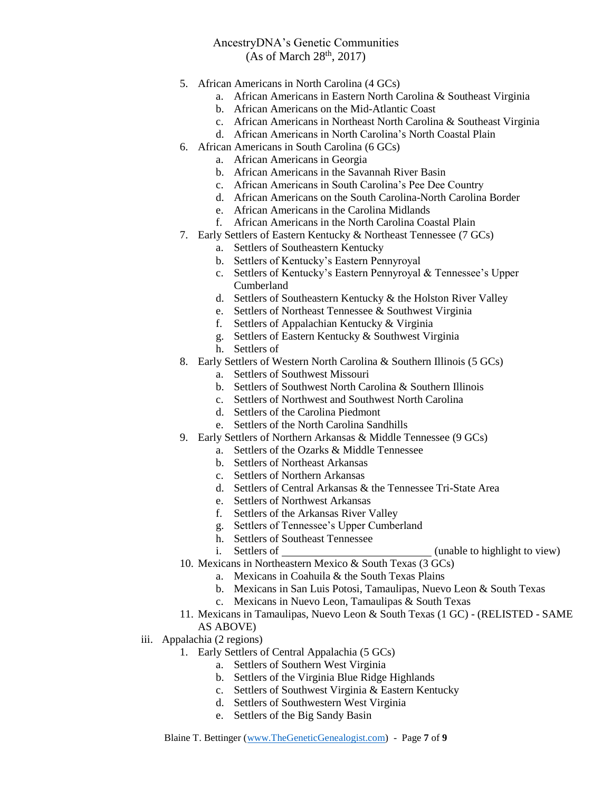- 5. African Americans in North Carolina (4 GCs)
	- a. African Americans in Eastern North Carolina & Southeast Virginia
	- b. African Americans on the Mid-Atlantic Coast
	- c. African Americans in Northeast North Carolina & Southeast Virginia
	- d. African Americans in North Carolina's North Coastal Plain
- 6. African Americans in South Carolina (6 GCs)
	- a. African Americans in Georgia
		- b. African Americans in the Savannah River Basin
		- c. African Americans in South Carolina's Pee Dee Country
		- d. African Americans on the South Carolina-North Carolina Border
		- e. African Americans in the Carolina Midlands
		- f. African Americans in the North Carolina Coastal Plain
- 7. Early Settlers of Eastern Kentucky & Northeast Tennessee (7 GCs)
	- a. Settlers of Southeastern Kentucky
	- b. Settlers of Kentucky's Eastern Pennyroyal
	- c. Settlers of Kentucky's Eastern Pennyroyal & Tennessee's Upper Cumberland
	- d. Settlers of Southeastern Kentucky & the Holston River Valley
	- e. Settlers of Northeast Tennessee & Southwest Virginia
	- f. Settlers of Appalachian Kentucky & Virginia
	- g. Settlers of Eastern Kentucky & Southwest Virginia
	- h. Settlers of
- 8. Early Settlers of Western North Carolina & Southern Illinois (5 GCs)
	- a. Settlers of Southwest Missouri
	- b. Settlers of Southwest North Carolina & Southern Illinois
	- c. Settlers of Northwest and Southwest North Carolina
	- d. Settlers of the Carolina Piedmont
	- e. Settlers of the North Carolina Sandhills
- 9. Early Settlers of Northern Arkansas & Middle Tennessee (9 GCs)
	- a. Settlers of the Ozarks & Middle Tennessee
	- b. Settlers of Northeast Arkansas
	- c. Settlers of Northern Arkansas
	- d. Settlers of Central Arkansas & the Tennessee Tri-State Area
	- e. Settlers of Northwest Arkansas
	- f. Settlers of the Arkansas River Valley
	- g. Settlers of Tennessee's Upper Cumberland
	- h. Settlers of Southeast Tennessee
	-
- i. Settlers of (unable to highlight to view) 10. Mexicans in Northeastern Mexico & South Texas (3 GCs)
	- a. Mexicans in Coahuila & the South Texas Plains
		- b. Mexicans in San Luis Potosi, Tamaulipas, Nuevo Leon & South Texas
		- c. Mexicans in Nuevo Leon, Tamaulipas & South Texas
- 11. Mexicans in Tamaulipas, Nuevo Leon & South Texas (1 GC) (RELISTED SAME AS ABOVE)
- iii. Appalachia (2 regions)
	- 1. Early Settlers of Central Appalachia (5 GCs)
		- a. Settlers of Southern West Virginia
		- b. Settlers of the Virginia Blue Ridge Highlands
		- c. Settlers of Southwest Virginia & Eastern Kentucky
		- d. Settlers of Southwestern West Virginia
		- e. Settlers of the Big Sandy Basin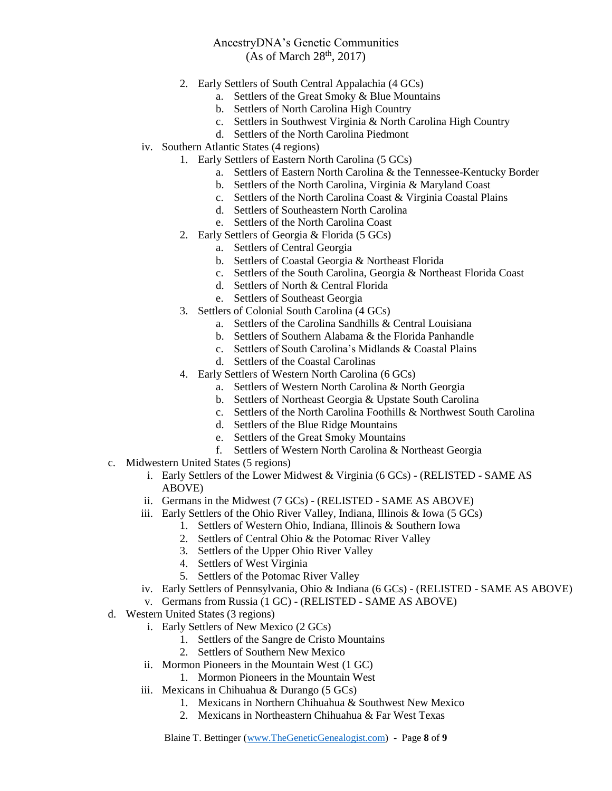- 2. Early Settlers of South Central Appalachia (4 GCs)
	- a. Settlers of the Great Smoky & Blue Mountains
	- b. Settlers of North Carolina High Country
	- c. Settlers in Southwest Virginia & North Carolina High Country
	- d. Settlers of the North Carolina Piedmont
- iv. Southern Atlantic States (4 regions)
	- 1. Early Settlers of Eastern North Carolina (5 GCs)
		- a. Settlers of Eastern North Carolina & the Tennessee-Kentucky Border
		- b. Settlers of the North Carolina, Virginia & Maryland Coast
		- c. Settlers of the North Carolina Coast & Virginia Coastal Plains
		- d. Settlers of Southeastern North Carolina
		- e. Settlers of the North Carolina Coast
	- 2. Early Settlers of Georgia & Florida (5 GCs)
		- a. Settlers of Central Georgia
		- b. Settlers of Coastal Georgia & Northeast Florida
		- c. Settlers of the South Carolina, Georgia & Northeast Florida Coast
		- d. Settlers of North & Central Florida
		- e. Settlers of Southeast Georgia
	- 3. Settlers of Colonial South Carolina (4 GCs)
		- a. Settlers of the Carolina Sandhills & Central Louisiana
		- b. Settlers of Southern Alabama & the Florida Panhandle
		- c. Settlers of South Carolina's Midlands & Coastal Plains
		- d. Settlers of the Coastal Carolinas
	- 4. Early Settlers of Western North Carolina (6 GCs)
		- a. Settlers of Western North Carolina & North Georgia
		- b. Settlers of Northeast Georgia & Upstate South Carolina
		- c. Settlers of the North Carolina Foothills & Northwest South Carolina
		- d. Settlers of the Blue Ridge Mountains
		- e. Settlers of the Great Smoky Mountains
		- f. Settlers of Western North Carolina & Northeast Georgia
- c. Midwestern United States (5 regions)
	- i. Early Settlers of the Lower Midwest & Virginia (6 GCs) (RELISTED SAME AS ABOVE)
	- ii. Germans in the Midwest (7 GCs) (RELISTED SAME AS ABOVE)
	- iii. Early Settlers of the Ohio River Valley, Indiana, Illinois & Iowa (5 GCs)
		- 1. Settlers of Western Ohio, Indiana, Illinois & Southern Iowa
		- 2. Settlers of Central Ohio & the Potomac River Valley
		- 3. Settlers of the Upper Ohio River Valley
		- 4. Settlers of West Virginia
		- 5. Settlers of the Potomac River Valley
	- iv. Early Settlers of Pennsylvania, Ohio & Indiana (6 GCs) (RELISTED SAME AS ABOVE)
	- v. Germans from Russia (1 GC) (RELISTED SAME AS ABOVE)
- d. Western United States (3 regions)
	- i. Early Settlers of New Mexico (2 GCs)
		- 1. Settlers of the Sangre de Cristo Mountains
		- 2. Settlers of Southern New Mexico
	- ii. Mormon Pioneers in the Mountain West (1 GC)
		- 1. Mormon Pioneers in the Mountain West
	- iii. Mexicans in Chihuahua & Durango (5 GCs)
		- 1. Mexicans in Northern Chihuahua & Southwest New Mexico
		- 2. Mexicans in Northeastern Chihuahua & Far West Texas